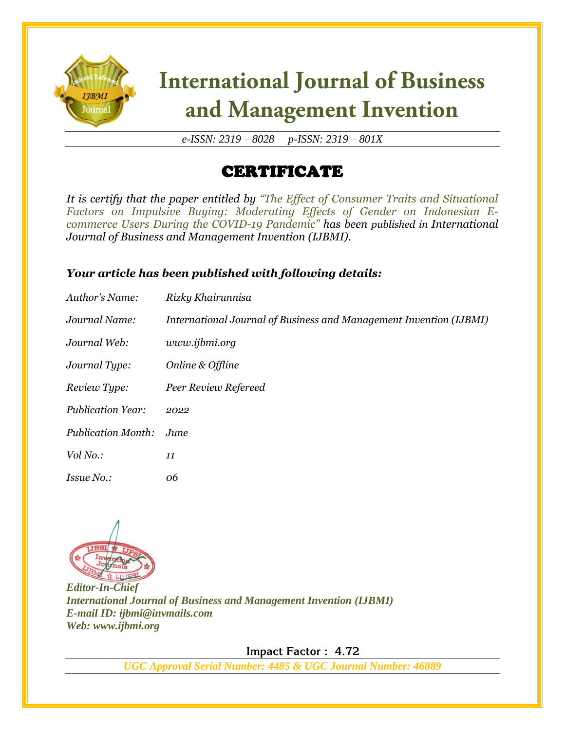

# **International Journal of Business** and Management Invention

*e-ISSN: 2319 – 8028 p-ISSN: 2319 – 801X*

## CERTIFICATE

*It is certify that the paper entitled by "The Effect of Consumer Traits and Situational Factors on Impulsive Buying: Moderating Effects of Gender on Indonesian Ecommerce Users During the COVID-19 Pandemic" has been published in International Journal of Business and Management Invention (IJBMI).*

#### *Your article has been published with following details:*

| Author's Name:            | Rizky Khairunnisa                                                  |
|---------------------------|--------------------------------------------------------------------|
| Journal Name:             | International Journal of Business and Management Invention (IJBMI) |
| Journal Web:              | www.ijbmi.org                                                      |
| Journal Type:             | Online & Offline                                                   |
| Review Type:              | Peer Review Refereed                                               |
| <b>Publication Year:</b>  | 2022                                                               |
| <b>Publication Month:</b> | June                                                               |
| Vol No.:                  | 11                                                                 |
| <i>Issue No.:</i>         | 06                                                                 |



*Editor-In-Chief International Journal of Business and Management Invention (IJBMI) E-mail ID: ijbmi@invmails.com Web: www.ijbmi.org*

 **Impact Factor : 4.72** 

*UGC Approval Serial Number: 4485 & UGC Journal Number: 46889*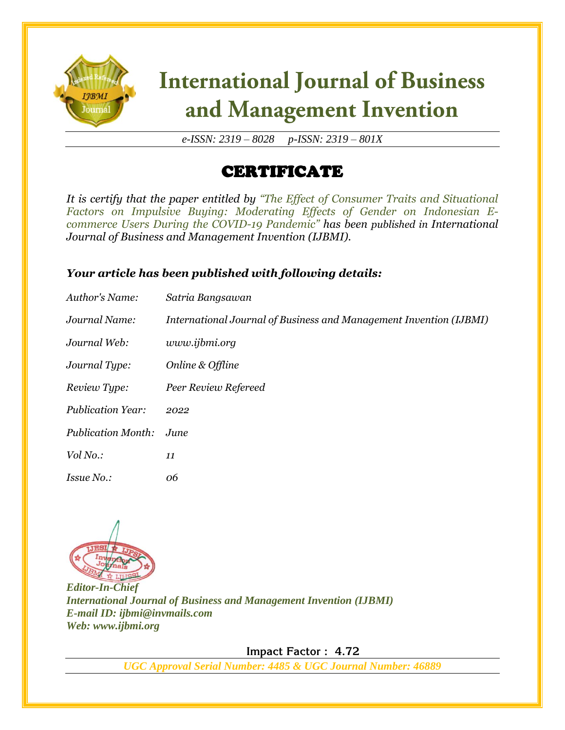

# **International Journal of Business** and Management Invention

*e-ISSN: 2319 – 8028 p-ISSN: 2319 – 801X*

## CERTIFICATE

*It is certify that the paper entitled by "The Effect of Consumer Traits and Situational Factors on Impulsive Buying: Moderating Effects of Gender on Indonesian Ecommerce Users During the COVID-19 Pandemic" has been published in International Journal of Business and Management Invention (IJBMI).*

#### *Your article has been published with following details:*

| Author's Name:            | Satria Bangsawan                                                   |
|---------------------------|--------------------------------------------------------------------|
| Journal Name:             | International Journal of Business and Management Invention (IJBMI) |
| Journal Web:              | www.ijbmi.org                                                      |
| Journal Type:             | Online & Offline                                                   |
| Review Type:              | Peer Review Refereed                                               |
| <b>Publication Year:</b>  | 2022                                                               |
| <b>Publication Month:</b> | June.                                                              |
| Vol No.:                  | 11                                                                 |
| <i>Issue No.:</i>         | 06                                                                 |



*Editor-In-Chief International Journal of Business and Management Invention (IJBMI) E-mail ID: ijbmi@invmails.com Web: www.ijbmi.org*

 **Impact Factor : 4.72** 

*UGC Approval Serial Number: 4485 & UGC Journal Number: 46889*